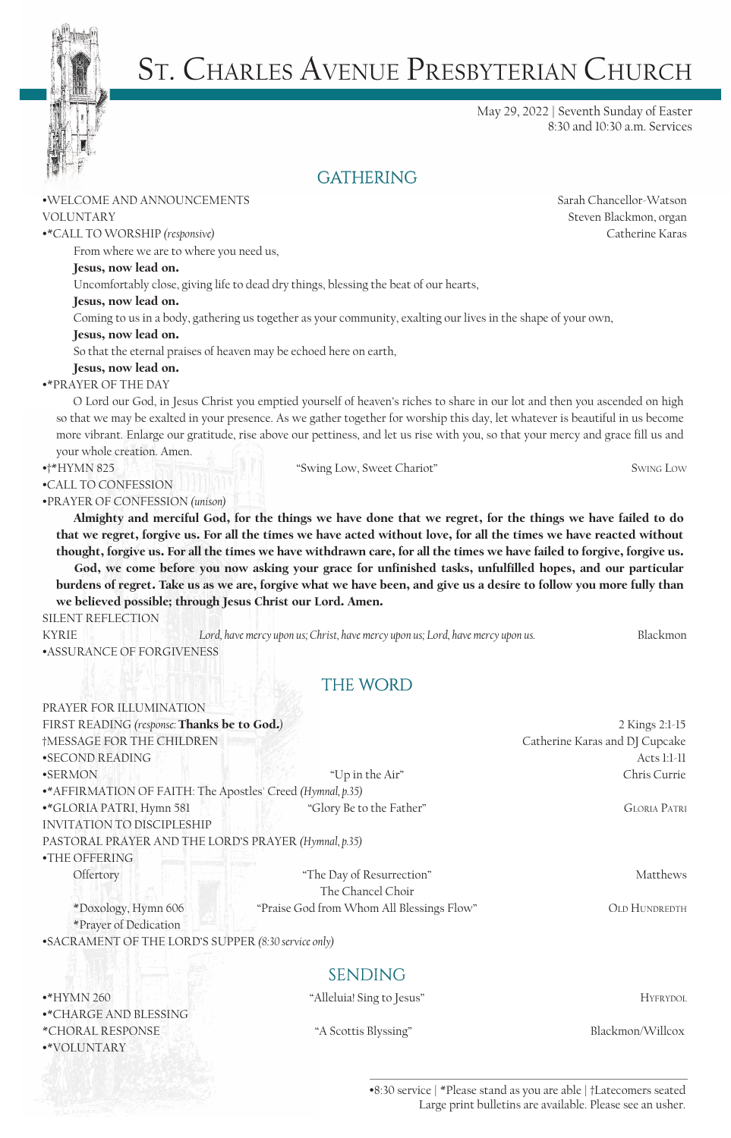

# St. Charles Avenue Presbyterian Church

May 29, 2022 | Seventh Sunday of Easter 8:30 and 10:30 a.m. Services

# **GATHERING**

### •WELCOME AND ANNOUNCEMENTS Sarah Chancellor-Watson

•\*CALL TO WORSHIP *(responsive)* Catherine Karas

From where we are to where you need us,

### Jesus, now lead on.

Uncomfortably close, giving life to dead dry things, blessing the beat of our hearts,

### Jesus, now lead on.

Coming to us in a body, gathering us together as your community, exalting our lives in the shape of your own,

Jesus, now lead on.

So that the eternal praises of heaven may be echoed here on earth,

Jesus, now lead on.

### •\*PRAYER OF THE DAY

•CALL TO CONFESSION

O Lord our God, in Jesus Christ you emptied yourself of heaven's riches to share in our lot and then you ascended on high so that we may be exalted in your presence. As we gather together for worship this day, let whatever is beautiful in us become more vibrant. Enlarge our gratitude, rise above our pettiness, and let us rise with you, so that your mercy and grace fill us and your whole creation. Amen.

## •†\*HYMN 825 "Swing Low, Sweet Chariot" Swing Low

•PRAYER OF CONFESSION *(unison)*

Almighty and merciful God, for the things we have done that we regret, for the things we have failed to do that we regret, forgive us. For all the times we have acted without love, for all the times we have reacted without thought, forgive us. For all the times we have withdrawn care, for all the times we have failed to forgive, forgive us. God, we come before you now asking your grace for unfinished tasks, unfulfilled hopes, and our particular burdens of regret. Take us as we are, forgive what we have been, and give us a desire to follow you more fully than we believed possible; through Jesus Christ our Lord. Amen.

### SILENT REFLECTION

KYRIE *Lord, have mercy upon us; Christ, have mercy upon us; Lord, have mercy upon us.* Blackmon •ASSURANCE OF FORGIVENESS

# **THE WORD**

| PRAYER FOR ILLUMINATION                                     |                                           |                                |
|-------------------------------------------------------------|-------------------------------------------|--------------------------------|
| FIRST READING (response: Thanks be to God.)                 |                                           | 2 Kings 2:1-15                 |
| †MESSAGE FOR THE CHILDREN                                   |                                           | Catherine Karas and DJ Cupcake |
| •SECOND READING                                             |                                           | Acts $1:1-11$                  |
| •SERMON                                                     | "Up in the Air"                           | Chris Currie                   |
| •* AFFIRMATION OF FAITH: The Apostles' Creed (Hymnal, p.35) |                                           |                                |
| •*GLORIA PATRI, Hymn 581                                    | "Glory Be to the Father"                  | <b>GLORIA PATRI</b>            |
| <b>INVITATION TO DISCIPLESHIP</b>                           |                                           |                                |
| PASTORAL PRAYER AND THE LORD'S PRAYER (Hymnal, p.35)        |                                           |                                |
| $\bullet$ THE OFFERING                                      |                                           |                                |
| Offertory                                                   | "The Day of Resurrection"                 | Matthews                       |
|                                                             | The Chancel Choir                         |                                |
| *Doxology, Hymn 606                                         | "Praise God from Whom All Blessings Flow" | <b>OLD HUNDREDTH</b>           |

\*Prayer of Dedication

•SACRAMENT OF THE LORD'S SUPPER *(8:30 service only)*

# **SENDING**

•\*HYMN 260 "Alleluia! Sing to Jesus" Hyfrydol •\*CHARGE AND BLESSING \*CHORAL RESPONSE "A Scottis Blyssing" Blackmon/Willcox •\*VOLUNTARY

•8:30 service | \*Please stand as you are able | †Latecomers seated Large print bulletins are available. Please see an usher.

VOLUNTARY Steven Blackmon, organ